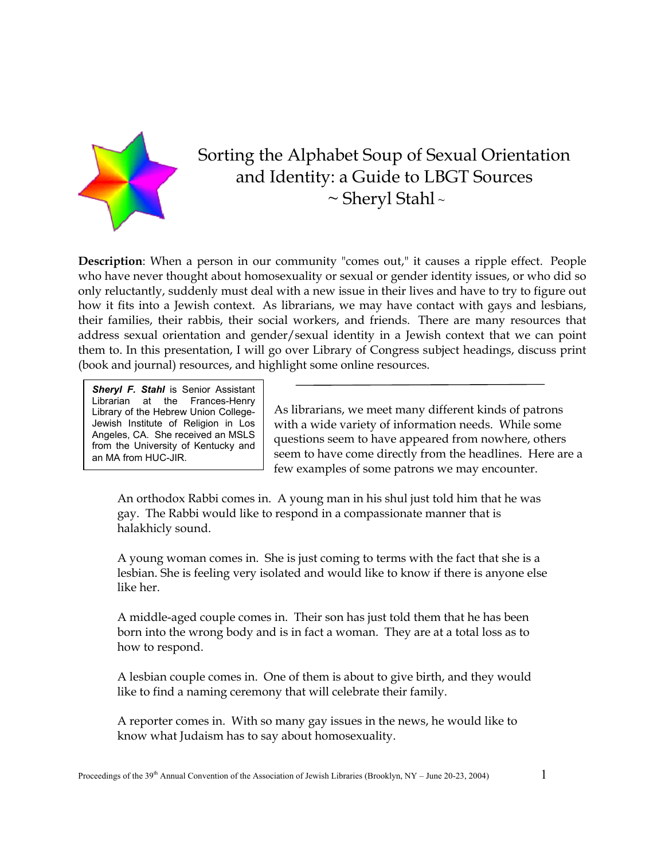

# Sorting the Alphabet Soup of Sexual Orientation and Identity: a Guide to LBGT Sources  $\sim$  Sheryl Stahl ~

**Description**: When a person in our community "comes out," it causes a ripple effect. People who have never thought about homosexuality or sexual or gender identity issues, or who did so only reluctantly, suddenly must deal with a new issue in their lives and have to try to figure out how it fits into a Jewish context. As librarians, we may have contact with gays and lesbians, their families, their rabbis, their social workers, and friends. There are many resources that address sexual orientation and gender/sexual identity in a Jewish context that we can point them to. In this presentation, I will go over Library of Congress subject headings, discuss print (book and journal) resources, and highlight some online resources.

**Sheryl F. Stahl** is Senior Assistant Librarian at the Frances-Henry Library of the Hebrew Union College-Jewish Institute of Religion in Los Angeles, CA. She received an MSLS from the University of Kentucky and an MA from HUC-JIR.

As librarians, we meet many different kinds of patrons with a wide variety of information needs. While some questions seem to have appeared from nowhere, others seem to have come directly from the headlines. Here are a few examples of some patrons we may encounter.

An orthodox Rabbi comes in. A young man in his shul just told him that he was gay. The Rabbi would like to respond in a compassionate manner that is halakhicly sound.

A young woman comes in. She is just coming to terms with the fact that she is a lesbian. She is feeling very isolated and would like to know if there is anyone else like her.

A middle-aged couple comes in. Their son has just told them that he has been born into the wrong body and is in fact a woman. They are at a total loss as to how to respond.

A lesbian couple comes in. One of them is about to give birth, and they would like to find a naming ceremony that will celebrate their family.

A reporter comes in. With so many gay issues in the news, he would like to know what Judaism has to say about homosexuality.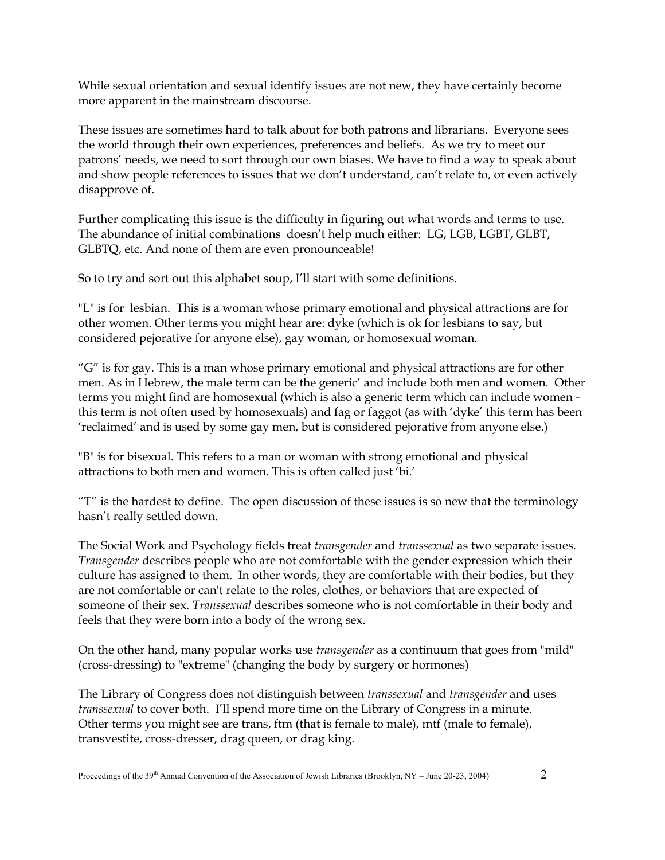While sexual orientation and sexual identify issues are not new, they have certainly become more apparent in the mainstream discourse.

These issues are sometimes hard to talk about for both patrons and librarians. Everyone sees the world through their own experiences, preferences and beliefs. As we try to meet our patrons' needs, we need to sort through our own biases. We have to find a way to speak about and show people references to issues that we don't understand, can't relate to, or even actively disapprove of.

Further complicating this issue is the difficulty in figuring out what words and terms to use. The abundance of initial combinations doesn't help much either: LG, LGB, LGBT, GLBT, GLBTQ, etc. And none of them are even pronounceable!

So to try and sort out this alphabet soup, I'll start with some definitions.

"L" is for lesbian. This is a woman whose primary emotional and physical attractions are for other women. Other terms you might hear are: dyke (which is ok for lesbians to say, but considered pejorative for anyone else), gay woman, or homosexual woman.

"G" is for gay. This is a man whose primary emotional and physical attractions are for other men. As in Hebrew, the male term can be the generic' and include both men and women. Other terms you might find are homosexual (which is also a generic term which can include women this term is not often used by homosexuals) and fag or faggot (as with 'dyke' this term has been 'reclaimed' and is used by some gay men, but is considered pejorative from anyone else.)

"B" is for bisexual. This refers to a man or woman with strong emotional and physical attractions to both men and women. This is often called just 'bi.'

"T" is the hardest to define. The open discussion of these issues is so new that the terminology hasn't really settled down.

The Social Work and Psychology fields treat *transgender* and *transsexual* as two separate issues. *Transgender* describes people who are not comfortable with the gender expression which their culture has assigned to them. In other words, they are comfortable with their bodies, but they are not comfortable or can't relate to the roles, clothes, or behaviors that are expected of someone of their sex. *Transsexual* describes someone who is not comfortable in their body and feels that they were born into a body of the wrong sex.

On the other hand, many popular works use *transgender* as a continuum that goes from "mild" (cross-dressing) to "extreme" (changing the body by surgery or hormones)

The Library of Congress does not distinguish between *transsexual* and *transgender* and uses *transsexual* to cover both. I'll spend more time on the Library of Congress in a minute. Other terms you might see are trans, ftm (that is female to male), mtf (male to female), transvestite, cross-dresser, drag queen, or drag king.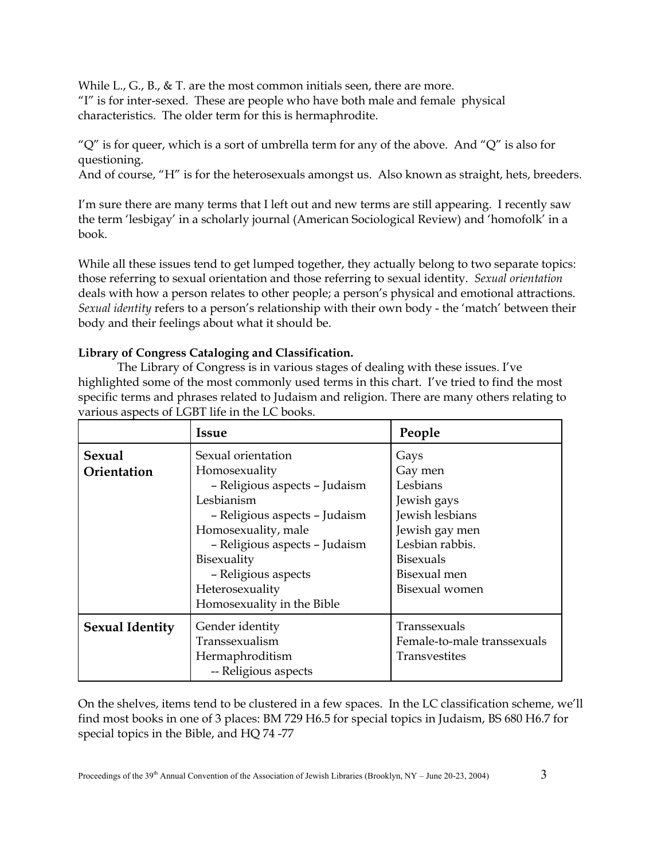While L., G., B., & T. are the most common initials seen, there are more. "I" is for inter-sexed. These are people who have both male and female physical characteristics. The older term for this is hermaphrodite.

" $Q''$  is for queer, which is a sort of umbrella term for any of the above. And " $Q''$  is also for questioning.

And of course, "H" is for the heterosexuals amongst us. Also known as straight, hets, breeders.

I'm sure there are many terms that I left out and new terms are still appearing. I recently saw the term 'lesbigay' in a scholarly journal (American Sociological Review) and 'homofolk' in a book.

While all these issues tend to get lumped together, they actually belong to two separate topics: those referring to sexual orientation and those referring to sexual identity. *Sexual orientation* deals with how a person relates to other people; a person's physical and emotional attractions. *Sexual identity* refers to a person's relationship with their own body - the 'match' between their body and their feelings about what it should be.

## **Library of Congress Cataloging and Classification.**

The Library of Congress is in various stages of dealing with these issues. I've highlighted some of the most commonly used terms in this chart. I've tried to find the most specific terms and phrases related to Judaism and religion. There are many others relating to various aspects of LGBT life in the LC books.

|                        | <b>Issue</b>                  | People                      |
|------------------------|-------------------------------|-----------------------------|
| <b>Sexual</b>          | Sexual orientation            | Gays                        |
| Orientation            | Homosexuality                 | Gay men                     |
|                        | - Religious aspects - Judaism | Lesbians                    |
|                        | Lesbianism                    | Jewish gays                 |
|                        | - Religious aspects - Judaism | Jewish lesbians             |
|                        | Homosexuality, male           | Jewish gay men              |
|                        | - Religious aspects - Judaism | Lesbian rabbis.             |
|                        | Bisexuality                   | <b>Bisexuals</b>            |
|                        | - Religious aspects           | Bisexual men                |
|                        | Heterosexuality               | Bisexual women              |
|                        | Homosexuality in the Bible    |                             |
| <b>Sexual Identity</b> | Gender identity               | Transsexuals                |
|                        | Transsexualism                | Female-to-male transsexuals |
|                        | Hermaphroditism               | Transvestites               |
|                        | -- Religious aspects          |                             |

On the shelves, items tend to be clustered in a few spaces. In the LC classification scheme, we'll find most books in one of 3 places: BM 729 H6.5 for special topics in Judaism, BS 680 H6.7 for special topics in the Bible, and HQ 74 -77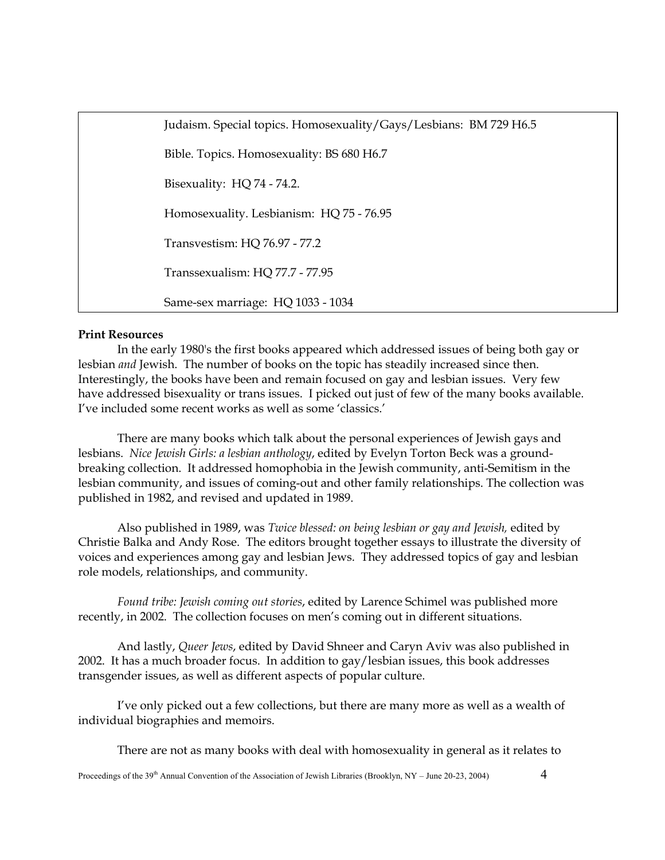Judaism. Special topics. Homosexuality/Gays/Lesbians: BM 729 H6.5 Bible. Topics. Homosexuality: BS 680 H6.7 Bisexuality: HQ 74 - 74.2. Homosexuality. Lesbianism: HQ 75 - 76.95 Transvestism: HQ 76.97 - 77.2 Transsexualism: HQ 77.7 - 77.95 Same-sex marriage: HQ 1033 - 1034

## **Print Resources**

In the early 1980's the first books appeared which addressed issues of being both gay or lesbian *and* Jewish. The number of books on the topic has steadily increased since then. Interestingly, the books have been and remain focused on gay and lesbian issues. Very few have addressed bisexuality or trans issues. I picked out just of few of the many books available. I've included some recent works as well as some 'classics.'

There are many books which talk about the personal experiences of Jewish gays and lesbians. *Nice Jewish Girls: a lesbian anthology*, edited by Evelyn Torton Beck was a groundbreaking collection. It addressed homophobia in the Jewish community, anti-Semitism in the lesbian community, and issues of coming-out and other family relationships. The collection was published in 1982, and revised and updated in 1989.

Also published in 1989, was *Twice blessed: on being lesbian or gay and Jewish,* edited by Christie Balka and Andy Rose. The editors brought together essays to illustrate the diversity of voices and experiences among gay and lesbian Jews. They addressed topics of gay and lesbian role models, relationships, and community.

*Found tribe: Jewish coming out stories*, edited by Larence Schimel was published more recently, in 2002. The collection focuses on men's coming out in different situations.

 And lastly, *Queer Jews*, edited by David Shneer and Caryn Aviv was also published in 2002. It has a much broader focus. In addition to gay/lesbian issues, this book addresses transgender issues, as well as different aspects of popular culture.

I've only picked out a few collections, but there are many more as well as a wealth of individual biographies and memoirs.

There are not as many books with deal with homosexuality in general as it relates to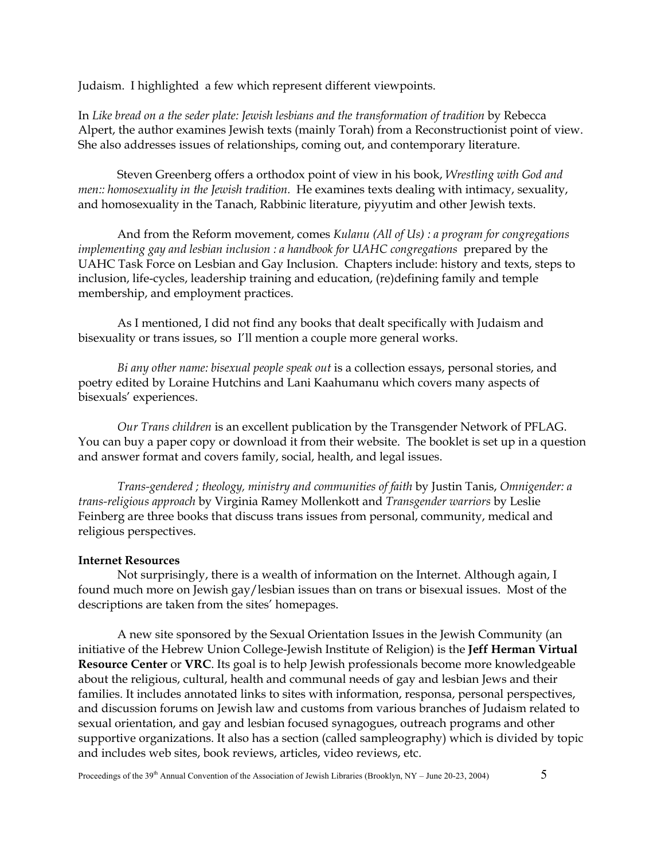Judaism. I highlighted a few which represent different viewpoints.

In *Like bread on a the seder plate: Jewish lesbians and the transformation of tradition* by Rebecca Alpert, the author examines Jewish texts (mainly Torah) from a Reconstructionist point of view. She also addresses issues of relationships, coming out, and contemporary literature.

Steven Greenberg offers a orthodox point of view in his book, *Wrestling with God and men:: homosexuality in the Jewish tradition.* He examines texts dealing with intimacy, sexuality, and homosexuality in the Tanach, Rabbinic literature, piyyutim and other Jewish texts.

And from the Reform movement, comes *Kulanu (All of Us) : a program for congregations implementing gay and lesbian inclusion : a handbook for UAHC congregations* prepared by the UAHC Task Force on Lesbian and Gay Inclusion. Chapters include: history and texts, steps to inclusion, life-cycles, leadership training and education, (re)defining family and temple membership, and employment practices.

As I mentioned, I did not find any books that dealt specifically with Judaism and bisexuality or trans issues, so I'll mention a couple more general works.

*Bi any other name: bisexual people speak out* is a collection essays, personal stories, and poetry edited by Loraine Hutchins and Lani Kaahumanu which covers many aspects of bisexuals' experiences.

*Our Trans children* is an excellent publication by the Transgender Network of PFLAG. You can buy a paper copy or download it from their website. The booklet is set up in a question and answer format and covers family, social, health, and legal issues.

*Trans-gendered ; theology, ministry and communities of faith* by Justin Tanis, *Omnigender: a trans-religious approach* by Virginia Ramey Mollenkott and *Transgender warriors* by Leslie Feinberg are three books that discuss trans issues from personal, community, medical and religious perspectives.

#### **Internet Resources**

Not surprisingly, there is a wealth of information on the Internet. Although again, I found much more on Jewish gay/lesbian issues than on trans or bisexual issues. Most of the descriptions are taken from the sites' homepages.

A new site sponsored by the Sexual Orientation Issues in the Jewish Community (an initiative of the Hebrew Union College-Jewish Institute of Religion) is the **Jeff Herman Virtual Resource Center** or **VRC**. Its goal is to help Jewish professionals become more knowledgeable about the religious, cultural, health and communal needs of gay and lesbian Jews and their families. It includes annotated links to sites with information, responsa, personal perspectives, and discussion forums on Jewish law and customs from various branches of Judaism related to sexual orientation, and gay and lesbian focused synagogues, outreach programs and other supportive organizations. It also has a section (called sampleography) which is divided by topic and includes web sites, book reviews, articles, video reviews, etc.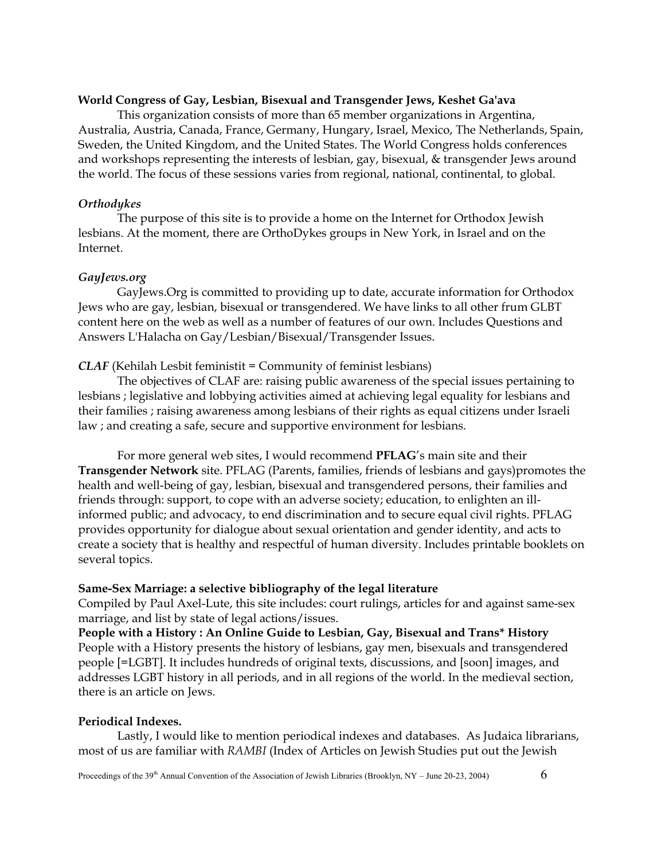#### **World Congress of Gay, Lesbian, Bisexual and Transgender Jews, Keshet Ga'ava**

This organization consists of more than 65 member organizations in Argentina, Australia, Austria, Canada, France, Germany, Hungary, Israel, Mexico, The Netherlands, Spain, Sweden, the United Kingdom, and the United States. The World Congress holds conferences and workshops representing the interests of lesbian, gay, bisexual, & transgender Jews around the world. The focus of these sessions varies from regional, national, continental, to global.

## *Orthodykes*

The purpose of this site is to provide a home on the Internet for Orthodox Jewish lesbians. At the moment, there are OrthoDykes groups in New York, in Israel and on the Internet.

#### *GayJews.org*

GayJews.Org is committed to providing up to date, accurate information for Orthodox Jews who are gay, lesbian, bisexual or transgendered. We have links to all other frum GLBT content here on the web as well as a number of features of our own. Includes Questions and Answers L'Halacha on Gay/Lesbian/Bisexual/Transgender Issues.

## *CLAF* (Kehilah Lesbit feministit = Community of feminist lesbians)

The objectives of CLAF are: raising public awareness of the special issues pertaining to lesbians ; legislative and lobbying activities aimed at achieving legal equality for lesbians and their families ; raising awareness among lesbians of their rights as equal citizens under Israeli law ; and creating a safe, secure and supportive environment for lesbians.

For more general web sites, I would recommend **PFLAG**'s main site and their **Transgender Network** site. PFLAG (Parents, families, friends of lesbians and gays)promotes the health and well-being of gay, lesbian, bisexual and transgendered persons, their families and friends through: support, to cope with an adverse society; education, to enlighten an illinformed public; and advocacy, to end discrimination and to secure equal civil rights. PFLAG provides opportunity for dialogue about sexual orientation and gender identity, and acts to create a society that is healthy and respectful of human diversity. Includes printable booklets on several topics.

#### **Same-Sex Marriage: a selective bibliography of the legal literature**

Compiled by Paul Axel-Lute, this site includes: court rulings, articles for and against same-sex marriage, and list by state of legal actions/issues.

**People with a History : An Online Guide to Lesbian, Gay, Bisexual and Trans\* History** People with a History presents the history of lesbians, gay men, bisexuals and transgendered people [=LGBT]. It includes hundreds of original texts, discussions, and [soon] images, and addresses LGBT history in all periods, and in all regions of the world. In the medieval section, there is an article on Jews.

#### **Periodical Indexes.**

Lastly, I would like to mention periodical indexes and databases. As Judaica librarians, most of us are familiar with *RAMBI* (Index of Articles on Jewish Studies put out the Jewish